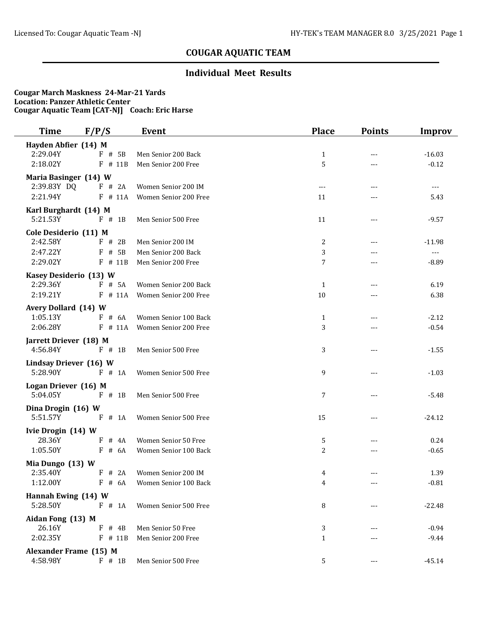## **Individual Meet Results**

| Time                   | F/P/S       | <b>Event</b>          | <b>Place</b>        | <b>Points</b>       | <b>Improv</b>  |
|------------------------|-------------|-----------------------|---------------------|---------------------|----------------|
| Hayden Abfier (14) M   |             |                       |                     |                     |                |
| 2:29.04Y               | $F$ # 5B    | Men Senior 200 Back   | $\mathbf{1}$        | ---                 | $-16.03$       |
| 2:18.02Y               | F # 11B     | Men Senior 200 Free   | 5                   | $---$               | $-0.12$        |
| Maria Basinger (14) W  |             |                       |                     |                     |                |
| 2:39.83Y DQ            | F # 2A      | Women Senior 200 IM   | $\qquad \qquad - -$ | $---$               | $---$          |
| 2:21.94Y               | $F$ # 11A   | Women Senior 200 Free | 11                  | ---                 | 5.43           |
| Karl Burghardt (14) M  |             |                       |                     |                     |                |
| 5:21.53Y               | F # 1B      | Men Senior 500 Free   | 11                  | ---                 | $-9.57$        |
| Cole Desiderio (11) M  |             |                       |                     |                     |                |
| 2:42.58Y               | $F$ # 2B    | Men Senior 200 IM     | 2                   | $---$               | $-11.98$       |
| 2:47.22Y               | F<br># 5B   | Men Senior 200 Back   | 3                   |                     | $\overline{a}$ |
| 2:29.02Y               | $F$ # 11B   | Men Senior 200 Free   | 7                   | ---                 | $-8.89$        |
| Kasey Desiderio (13) W |             |                       |                     |                     |                |
| 2:29.36Y               | $F$ # 5A    | Women Senior 200 Back | $\mathbf{1}$        | $---$               | 6.19           |
| 2:19.21Y               | $F$ # 11A   | Women Senior 200 Free | 10                  | ---                 | 6.38           |
| Avery Dollard (14) W   |             |                       |                     |                     |                |
| 1:05.13Y               | $F$ # 6A    | Women Senior 100 Back | 1                   | $---$               | $-2.12$        |
| 2:06.28Y               | $F$ # 11A   | Women Senior 200 Free | 3                   |                     | $-0.54$        |
| Jarrett Driever (18) M |             |                       |                     |                     |                |
| 4:56.84Y               | $F$ # 1B    | Men Senior 500 Free   | 3                   | ---                 | $-1.55$        |
| Lindsay Driever (16) W |             |                       |                     |                     |                |
| 5:28.90Y               | $F$ # 1A    | Women Senior 500 Free | 9                   | ---                 | $-1.03$        |
| Logan Driever (16) M   |             |                       |                     |                     |                |
| 5:04.05Y               | $F$ # 1B    | Men Senior 500 Free   | 7                   | ---                 | $-5.48$        |
| Dina Drogin (16) W     |             |                       |                     |                     |                |
| 5:51.57Y               | $F$ # 1A    | Women Senior 500 Free | 15                  | $---$               | $-24.12$       |
| Ivie Drogin (14) W     |             |                       |                     |                     |                |
| 28.36Y                 | $F$ # 4A    | Women Senior 50 Free  | 5                   | $---$               | 0.24           |
| 1:05.50Y               | $F$ # 6A    | Women Senior 100 Back | 2                   | ---                 | $-0.65$        |
| Mia Dungo (13) W       |             |                       |                     |                     |                |
| 2:35.40Y               | F # 2A      | Women Senior 200 IM   | 4                   | $---$               | 1.39           |
| 1:12.00Y               | $F$ # 6A    | Women Senior 100 Back | 4                   | $\qquad \qquad - -$ | $-0.81$        |
| Hannah Ewing (14) W    |             |                       |                     |                     |                |
| 5:28.50Y               | F # 1A      | Women Senior 500 Free | 8                   | ---                 | $-22.48$       |
| Aidan Fong (13) M      |             |                       |                     |                     |                |
| 26.16Y                 | F<br>$#$ 4B | Men Senior 50 Free    | 3                   |                     | $-0.94$        |
| 2:02.35Y               | $F$ # 11B   | Men Senior 200 Free   | $\mathbf{1}$        |                     | $-9.44$        |
| Alexander Frame (15) M |             |                       |                     |                     |                |
| 4:58.98Y               | $F$ # 1B    | Men Senior 500 Free   | 5                   |                     | $-45.14$       |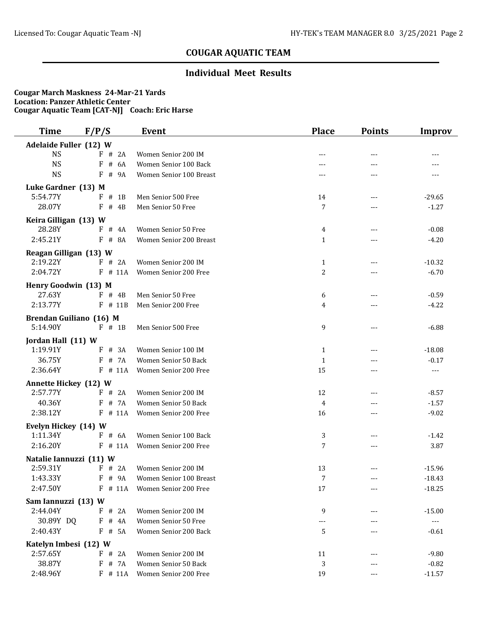## **Individual Meet Results**

| <b>Time</b>                       | F/P/S       | <b>Event</b>                  | <b>Place</b>   | <b>Points</b> | <b>Improv</b>       |
|-----------------------------------|-------------|-------------------------------|----------------|---------------|---------------------|
| Adelaide Fuller (12) W            |             |                               |                |               |                     |
| <b>NS</b>                         | F # 2A      | Women Senior 200 IM           |                |               |                     |
| <b>NS</b>                         | # 6A<br>F   | Women Senior 100 Back         |                | ---           |                     |
| <b>NS</b>                         | F<br># 9A   | Women Senior 100 Breast       | ---            | ---           | ---                 |
| Luke Gardner (13) M               |             |                               |                |               |                     |
| 5:54.77Y                          | $#$ 1B<br>F | Men Senior 500 Free           | 14             | $---$         | $-29.65$            |
| 28.07Y                            | F<br># 4B   | Men Senior 50 Free            | 7              |               | $-1.27$             |
| Keira Gilligan (13) W             |             |                               |                |               |                     |
| 28.28Y                            | $F$ # 4A    | Women Senior 50 Free          | 4              |               | $-0.08$             |
| 2:45.21Y                          | $F$ # 8A    | Women Senior 200 Breast       | $\mathbf{1}$   | $---$         | $-4.20$             |
| Reagan Gilligan (13) W            |             |                               |                |               |                     |
| 2:19.22Y                          | F # 2A      | Women Senior 200 IM           | $\mathbf{1}$   | $---$         | $-10.32$            |
| 2:04.72Y                          | $F$ # 11A   | Women Senior 200 Free         | $\overline{c}$ | ---           | $-6.70$             |
|                                   |             |                               |                |               |                     |
| Henry Goodwin (13) M              |             |                               |                |               |                     |
| 27.63Y<br>2:13.77Y                | $F$ # 4B    | Men Senior 50 Free            | 6              | $---$         | $-0.59$             |
|                                   | $F$ # 11B   | Men Senior 200 Free           | 4              | ---           | $-4.22$             |
| Brendan Guiliano (16) M           |             |                               |                |               |                     |
| 5:14.90Y                          | $F$ # 1B    | Men Senior 500 Free           | 9              | $---$         | $-6.88$             |
| Jordan Hall (11) W                |             |                               |                |               |                     |
| 1:19.91Y                          | # 3A<br>F   | Women Senior 100 IM           | 1              |               | $-18.08$            |
| 36.75Y                            | $F$ # 7A    | Women Senior 50 Back          | $\mathbf{1}$   |               | $-0.17$             |
| 2:36.64Y                          | $F$ # 11A   | Women Senior 200 Free         | 15             | $---$         | ---                 |
| <b>Annette Hickey (12) W</b>      |             |                               |                |               |                     |
| 2:57.77Y                          | $F$ # 2A    | Women Senior 200 IM           | 12             | $---$         | $-8.57$             |
| 40.36Y                            | # 7A<br>F   | Women Senior 50 Back          | 4              |               | $-1.57$             |
| 2:38.12Y                          | $F$ # 11A   | Women Senior 200 Free         | 16             | ---           | $-9.02$             |
| Evelyn Hickey (14) W              |             |                               |                |               |                     |
| 1:11.34Y                          | F # 6A      | Women Senior 100 Back         | 3              | ---           | $-1.42$             |
| 2:16.20Y                          | $F$ # 11A   | Women Senior 200 Free         | $\overline{7}$ | ---           | 3.87                |
| Natalie Iannuzzi (11) W           |             |                               |                |               |                     |
| 2:59.31Y                          | $F$ # 2A    | Women Senior 200 IM           | 13             | $---$         | $-15.96$            |
| 1:43.33Y                          | $F$ # 9A    | Women Senior 100 Breast       | 7              |               | $-18.43$            |
| 2:47.50Y                          |             | F # 11A Women Senior 200 Free | 17             |               | $-18.25$            |
| Sam Iannuzzi (13) W               |             |                               |                |               |                     |
| 2:44.04Y                          | F # 2A      | Women Senior 200 IM           | 9              |               | $-15.00$            |
| 30.89Y DQ                         | $F$ # 4A    | Women Senior 50 Free          |                |               | $\qquad \qquad - -$ |
| 2:40.43Y                          | $F$ # 5A    | Women Senior 200 Back         | 5              |               | $-0.61$             |
|                                   |             |                               |                |               |                     |
| Katelyn Imbesi (12) W<br>2:57.65Y | F # 2A      | Women Senior 200 IM           | 11             |               | $-9.80$             |
| 38.87Y                            | F # 7A      | Women Senior 50 Back          | 3              |               | $-0.82$             |
| 2:48.96Y                          | $F$ # 11A   | Women Senior 200 Free         | 19             |               | $-11.57$            |
|                                   |             |                               |                |               |                     |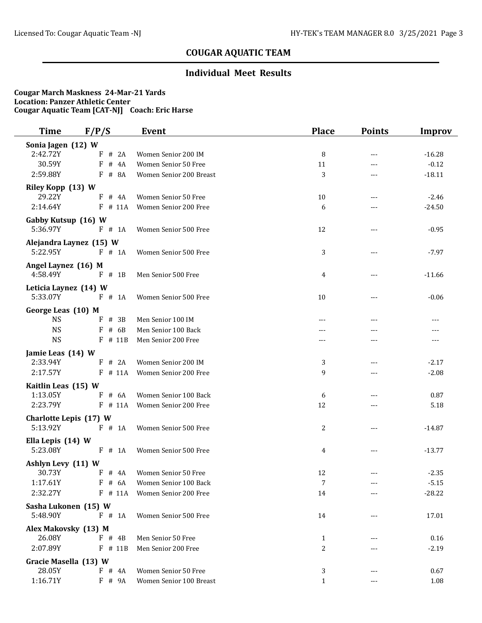## **Individual Meet Results**

| Time                             | F/P/S                   | <b>Event</b>            | <b>Place</b>      | <b>Points</b>       | <b>Improv</b> |
|----------------------------------|-------------------------|-------------------------|-------------------|---------------------|---------------|
| Sonia Jagen (12) W               |                         |                         |                   |                     |               |
| 2:42.72Y                         | F<br># 2A               | Women Senior 200 IM     | 8                 | ---                 | $-16.28$      |
| 30.59Y                           | F<br># $4A$             | Women Senior 50 Free    | 11                | ---                 | $-0.12$       |
| 2:59.88Y                         | # 8A<br>F               | Women Senior 200 Breast | 3                 | ---                 | $-18.11$      |
| Riley Kopp (13) W                |                         |                         |                   |                     |               |
| 29.22Y                           | F<br># 4A               | Women Senior 50 Free    | 10                | ---                 | $-2.46$       |
| 2:14.64Y                         | $F$ # 11A               | Women Senior 200 Free   | 6                 | ---                 | $-24.50$      |
| Gabby Kutsup (16) W              |                         |                         |                   |                     |               |
| 5:36.97Y                         | F # 1A                  | Women Senior 500 Free   | 12                | ---                 | $-0.95$       |
|                                  | Alejandra Laynez (15) W |                         |                   |                     |               |
| 5:22.95Y                         | $F \# 1A$               | Women Senior 500 Free   | 3                 | $---$               | $-7.97$       |
| Angel Laynez (16) M              |                         |                         |                   |                     |               |
| 4:58.49Y                         | $F$ # 1B                | Men Senior 500 Free     | 4                 | $---$               | $-11.66$      |
| Leticia Laynez (14) W            |                         |                         |                   |                     |               |
| 5:33.07Y                         | $F$ # 1A                | Women Senior 500 Free   | 10                | ---                 | $-0.06$       |
| George Leas (10) M               |                         |                         |                   |                     |               |
| <b>NS</b>                        | # 3B<br>F               | Men Senior 100 IM       | $---$             | ---                 | $---$         |
| <b>NS</b>                        | F<br># $6B$             | Men Senior 100 Back     |                   |                     |               |
| <b>NS</b>                        | $F$ # 11B               | Men Senior 200 Free     | ---               | ---                 | $---$         |
| Jamie Leas (14) W                |                         |                         |                   |                     |               |
| 2:33.94Y                         | # 2A<br>F               | Women Senior 200 IM     | 3                 | $---$               | $-2.17$       |
| 2:17.57Y                         | # 11A<br>F              | Women Senior 200 Free   | 9                 | ---                 | $-2.08$       |
| Kaitlin Leas (15) W              |                         |                         |                   |                     |               |
| 1:13.05Y                         | F<br># 6A               | Women Senior 100 Back   | 6                 | ---                 | 0.87          |
| 2:23.79Y                         | $F$ # 11A               | Women Senior 200 Free   | 12                | $---$               | 5.18          |
| Charlotte Lepis (17) W           |                         |                         |                   |                     |               |
| 5:13.92Y                         | F # 1A                  | Women Senior 500 Free   | 2                 | $---$               | $-14.87$      |
| Ella Lepis (14) W                |                         |                         |                   |                     |               |
| 5:23.08Y                         | $F$ # 1A                | Women Senior 500 Free   | 4                 | $\qquad \qquad - -$ | $-13.77$      |
|                                  |                         |                         |                   |                     |               |
| Ashlyn Levy (11) W<br>30.73Y     | $F$ # 4A                | Women Senior 50 Free    | 12                | $---$               | $-2.35$       |
| 1:17.61Y                         | F # 6A                  | Women Senior 100 Back   | 7                 |                     | $-5.15$       |
| 2:32.27Y                         | $F$ # 11A               | Women Senior 200 Free   | 14                |                     | $-28.22$      |
|                                  |                         |                         |                   |                     |               |
| Sasha Lukonen (15) W<br>5:48.90Y | $F$ # 1A                | Women Senior 500 Free   | 14                |                     | 17.01         |
|                                  |                         |                         |                   |                     |               |
| Alex Makovsky (13) M<br>26.08Y   | $F$ # 4B                | Men Senior 50 Free      | 1                 |                     | 0.16          |
| 2:07.89Y                         | $F$ # 11B               | Men Senior 200 Free     | 2                 | ---                 | $-2.19$       |
|                                  |                         |                         |                   |                     |               |
| Gracie Masella (13) W<br>28.05Y  |                         | Women Senior 50 Free    |                   |                     |               |
| 1:16.71Y                         | $F$ # 4A<br>F # 9A      | Women Senior 100 Breast | 3<br>$\mathbf{1}$ |                     | 0.67<br>1.08  |
|                                  |                         |                         |                   | ---                 |               |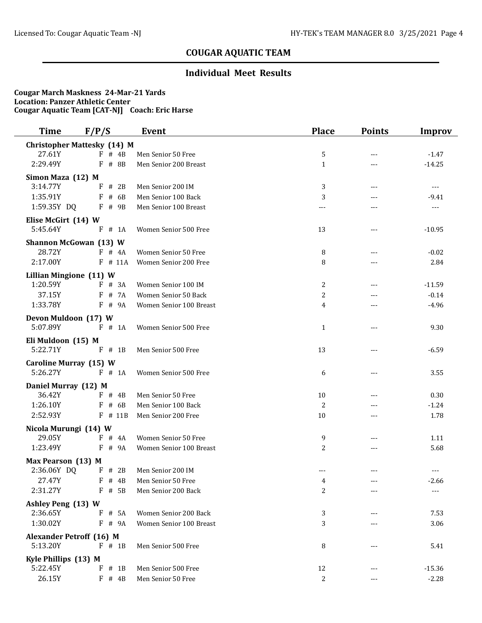## **Individual Meet Results**

| <b>Time</b>                        | F/P/S       | <b>Event</b>            | <b>Place</b>   | <b>Points</b>       | <b>Improv</b>  |
|------------------------------------|-------------|-------------------------|----------------|---------------------|----------------|
| <b>Christopher Mattesky (14) M</b> |             |                         |                |                     |                |
| 27.61Y                             | $F \# 4B$   | Men Senior 50 Free      | 5              | $---$               | $-1.47$        |
| 2:29.49Y                           | # 8B<br>F   | Men Senior 200 Breast   | $\mathbf{1}$   | ---                 | $-14.25$       |
| Simon Maza (12) M                  |             |                         |                |                     |                |
| 3:14.77Y                           | F<br># 2B   | Men Senior 200 IM       | 3              | $---$               | $\cdots$       |
| 1:35.91Y                           | # 6B<br>F   | Men Senior 100 Back     | 3              | ---                 | $-9.41$        |
| 1:59.35Y DQ                        | $F$ # 9B    | Men Senior 100 Breast   | $---$          | $- - -$             | $\overline{a}$ |
| Elise McGirt (14) W                |             |                         |                |                     |                |
| 5:45.64Y                           | $F$ # 1A    | Women Senior 500 Free   | 13             | $---$               | $-10.95$       |
| <b>Shannon McGowan (13) W</b>      |             |                         |                |                     |                |
| 28.72Y                             | $F$ # 4A    | Women Senior 50 Free    | 8              | ---                 | $-0.02$        |
| 2:17.00Y                           | $F$ # 11A   | Women Senior 200 Free   | 8              | ---                 | 2.84           |
| Lillian Mingione (11) W            |             |                         |                |                     |                |
| 1:20.59Y                           | # 3A<br>F.  | Women Senior 100 IM     | 2              | ---                 | $-11.59$       |
| 37.15Y                             | F<br># 7A   | Women Senior 50 Back    | 2              | ---                 | $-0.14$        |
| 1:33.78Y                           | F # 9A      | Women Senior 100 Breast | 4              | $---$               | $-4.96$        |
| Devon Muldoon (17) W               |             |                         |                |                     |                |
| 5:07.89Y                           | $F$ # 1A    | Women Senior 500 Free   | $\mathbf 1$    | $\qquad \qquad - -$ | 9.30           |
| Eli Muldoon (15) M                 |             |                         |                |                     |                |
| 5:22.71Y                           | F<br>$#$ 1B | Men Senior 500 Free     | 13             | $---$               | $-6.59$        |
| Caroline Murray (15) W             |             |                         |                |                     |                |
| 5:26.27Y                           | F # 1A      | Women Senior 500 Free   | 6              | $---$               | 3.55           |
| Daniel Murray (12) M               |             |                         |                |                     |                |
| 36.42Y                             | $F$ # 4B    | Men Senior 50 Free      | 10             | ---                 | 0.30           |
| 1:26.10Y                           | # 6B<br>F   | Men Senior 100 Back     | 2              |                     | $-1.24$        |
| 2:52.93Y                           | $F$ # 11B   | Men Senior 200 Free     | 10             | $---$               | 1.78           |
| Nicola Murungi (14) W              |             |                         |                |                     |                |
| 29.05Y                             | $F$ # 4A    | Women Senior 50 Free    | 9              | ---                 | 1.11           |
| 1:23.49Y                           | F<br># 9A   | Women Senior 100 Breast | 2              | $---$               | 5.68           |
| Max Pearson (13) M                 |             |                         |                |                     |                |
| 2:36.06Y DQ                        | $F$ # 2B    | Men Senior 200 IM       |                |                     |                |
| 27.47Y                             | $F$ # 4B    | Men Senior 50 Free      | $\overline{4}$ |                     | $-2.66$        |
| 2:31.27Y                           | $F$ # 5B    | Men Senior 200 Back     | 2              | ---                 | $---$          |
| Ashley Peng (13) W                 |             |                         |                |                     |                |
| 2:36.65Y                           | # 5A<br>F   | Women Senior 200 Back   | 3              |                     | 7.53           |
| 1:30.02Y                           | # 9A<br>F   | Women Senior 100 Breast | 3              |                     | 3.06           |
| <b>Alexander Petroff (16) M</b>    |             |                         |                |                     |                |
| 5:13.20Y                           | $F$ # 1B    | Men Senior 500 Free     | 8              |                     | 5.41           |
| Kyle Phillips (13) M               |             |                         |                |                     |                |
| 5:22.45Y                           | F<br>$#$ 1B | Men Senior 500 Free     | 12             |                     | $-15.36$       |
| 26.15Y                             | $F$ # 4B    | Men Senior 50 Free      | 2              |                     | $-2.28$        |
|                                    |             |                         |                |                     |                |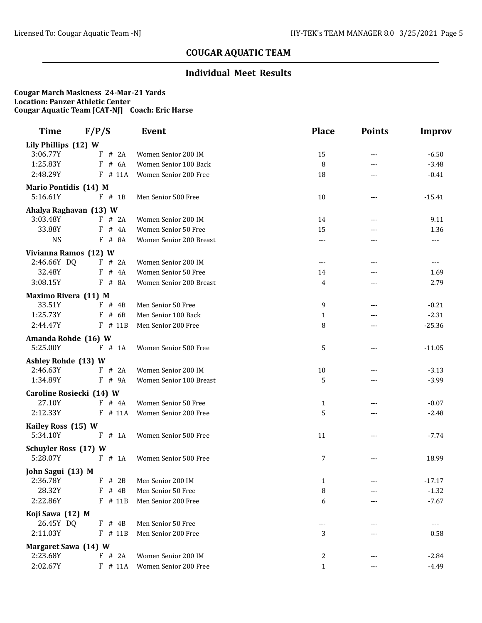## **Individual Meet Results**

| <b>Time</b>                     | F/P/S              | <b>Event</b>                                   | <b>Place</b>        | <b>Points</b> | <b>Improv</b>      |
|---------------------------------|--------------------|------------------------------------------------|---------------------|---------------|--------------------|
| Lily Phillips (12) W            |                    |                                                |                     |               |                    |
| 3:06.77Y                        | # 2A<br>F          | Women Senior 200 IM                            | 15                  | ---           | $-6.50$            |
| 1:25.83Y                        | F<br># 6A          | Women Senior 100 Back                          | 8                   | $---$         | $-3.48$            |
| 2:48.29Y                        | F<br># 11A         | Women Senior 200 Free                          | 18                  | $---$         | $-0.41$            |
| <b>Mario Pontidis (14) M</b>    |                    |                                                |                     |               |                    |
| 5:16.61Y                        | $F$ # 1B           | Men Senior 500 Free                            | 10                  | $---$         | $-15.41$           |
| Ahalya Raghavan (13) W          |                    |                                                |                     |               |                    |
| 3:03.48Y                        | F # 2A             | Women Senior 200 IM                            | 14                  | ---           | 9.11               |
| 33.88Y                          | # 4A<br>F          | Women Senior 50 Free                           | 15                  | ---           | 1.36               |
| <b>NS</b>                       | F<br># 8A          | Women Senior 200 Breast                        | ---                 | ---           | ---                |
| Vivianna Ramos (12) W           |                    |                                                |                     |               |                    |
| 2:46.66Y DQ                     | F # 2A             | Women Senior 200 IM                            | $\qquad \qquad - -$ | $---$         | ---                |
| 32.48Y                          | # 4A<br>F          | Women Senior 50 Free                           | 14                  |               | 1.69               |
| 3:08.15Y                        | # 8A<br>F          | Women Senior 200 Breast                        | 4                   | ---           | 2.79               |
| Maximo Rivera (11) M            |                    |                                                |                     |               |                    |
| 33.51Y                          | $F$ # 4B           | Men Senior 50 Free                             | 9                   | ---           | $-0.21$            |
| 1:25.73Y                        | # 6B<br>F          | Men Senior 100 Back                            | $\mathbf{1}$        | ---           | $-2.31$            |
| 2:44.47Y                        | F<br># 11B         | Men Senior 200 Free                            | 8                   | ---           | $-25.36$           |
|                                 |                    |                                                |                     |               |                    |
| Amanda Rohde (16) W<br>5:25.00Y | $F$ # 1A           | Women Senior 500 Free                          | 5                   | $---$         | $-11.05$           |
|                                 |                    |                                                |                     |               |                    |
| Ashley Rohde (13) W<br>2:46.63Y | F # 2A             |                                                |                     |               |                    |
| 1:34.89Y                        | $_{\rm F}$<br># 9A | Women Senior 200 IM<br>Women Senior 100 Breast | 10<br>5             | ---           | $-3.13$<br>$-3.99$ |
|                                 |                    |                                                |                     |               |                    |
| Caroline Rosiecki (14) W        |                    |                                                |                     |               |                    |
| 27.10Y                          | F # 4A             | Women Senior 50 Free                           | 1                   |               | $-0.07$            |
| 2:12.33Y                        | $F$ # 11A          | Women Senior 200 Free                          | 5                   | $- - -$       | $-2.48$            |
| Kailey Ross (15) W              |                    |                                                |                     |               |                    |
| 5:34.10Y                        | F # 1A             | Women Senior 500 Free                          | 11                  | ---           | $-7.74$            |
| <b>Schuyler Ross (17) W</b>     |                    |                                                |                     |               |                    |
| 5:28.07Y                        | F # 1A             | Women Senior 500 Free                          | 7                   | ---           | 18.99              |
| John Sagui (13) M               |                    |                                                |                     |               |                    |
| 2:36.78Y                        |                    | F # 2B Men Senior 200 IM                       | 1                   | ---           | $-17.17$           |
| 28.32Y                          | F<br># $4B$        | Men Senior 50 Free                             | 8                   | ---           | $-1.32$            |
| 2:22.86Y                        | F # 11B            | Men Senior 200 Free                            | 6                   |               | $-7.67$            |
| Koji Sawa (12) M                |                    |                                                |                     |               |                    |
| 26.45Y DQ                       | F<br># 4B          | Men Senior 50 Free                             | ---                 |               | $\cdots$           |
| 2:11.03Y                        | $F$ # 11B          | Men Senior 200 Free                            | 3                   |               | 0.58               |
| Margaret Sawa (14) W            |                    |                                                |                     |               |                    |
| 2:23.68Y                        | F # 2A             | Women Senior 200 IM                            | 2                   | ---           | $-2.84$            |
| 2:02.67Y                        | $F$ # 11A          | Women Senior 200 Free                          | $\mathbf{1}$        | ---           | $-4.49$            |